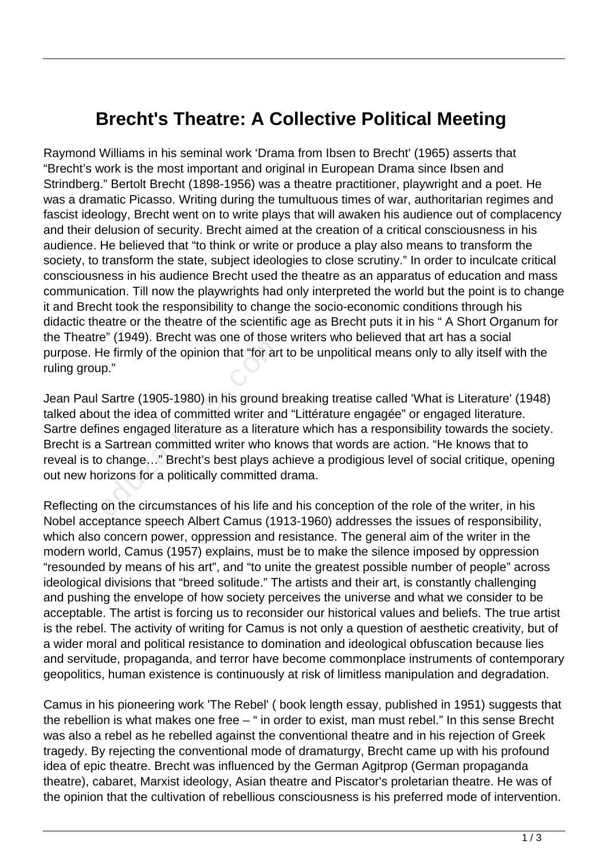## **Brecht's Theatre: A Collective Political Meeting**

Raymond Williams in his seminal work 'Drama from Ibsen to Brecht' (1965) asserts that "Brecht's work is the most important and original in European Drama since Ibsen and Strindberg." Bertolt Brecht (1898-1956) was a theatre practitioner, playwright and a poet. He was a dramatic Picasso. Writing during the tumultuous times of war, authoritarian regimes and fascist ideology, Brecht went on to write plays that will awaken his audience out of complacency and their delusion of security. Brecht aimed at the creation of a critical consciousness in his audience. He believed that "to think or write or produce a play also means to transform the society, to transform the state, subject ideologies to close scrutiny." In order to inculcate critical consciousness in his audience Brecht used the theatre as an apparatus of education and mass communication. Till now the playwrights had only interpreted the world but the point is to change it and Brecht took the responsibility to change the socio-economic conditions through his didactic theatre or the theatre of the scientific age as Brecht puts it in his " A Short Organum for the Theatre" (1949). Brecht was one of those writers who believed that art has a social purpose. He firmly of the opinion that "for art to be unpolitical means only to ally itself with the ruling group."

Jean Paul Sartre (1905-1980) in his ground breaking treatise called 'What is Literature' (1948) talked about the idea of committed writer and "Littérature engagée" or engaged literature. Sartre defines engaged literature as a literature which has a responsibility towards the society. Brecht is a Sartrean committed writer who knows that words are action. "He knows that to reveal is to change…" Brecht's best plays achieve a prodigious level of social critique, opening out new horizons for a politically committed drama. The firmly of the opinion that "for art<br>p."<br>Sartre (1905-1980) in his ground<br>ut the idea of committed writer and<br>nes engaged literature as a literat<br>and Sartrean committed writer who ki<br>b change..." Brecht's best plays ao<br>

Reflecting on the circumstances of his life and his conception of the role of the writer, in his Nobel acceptance speech Albert Camus (1913-1960) addresses the issues of responsibility, which also concern power, oppression and resistance. The general aim of the writer in the modern world, Camus (1957) explains, must be to make the silence imposed by oppression "resounded by means of his art", and "to unite the greatest possible number of people" across ideological divisions that "breed solitude." The artists and their art, is constantly challenging and pushing the envelope of how society perceives the universe and what we consider to be acceptable. The artist is forcing us to reconsider our historical values and beliefs. The true artist is the rebel. The activity of writing for Camus is not only a question of aesthetic creativity, but of a wider moral and political resistance to domination and ideological obfuscation because lies and servitude, propaganda, and terror have become commonplace instruments of contemporary geopolitics, human existence is continuously at risk of limitless manipulation and degradation.

Camus in his pioneering work 'The Rebel' ( book length essay, published in 1951) suggests that the rebellion is what makes one free – " in order to exist, man must rebel." In this sense Brecht was also a rebel as he rebelled against the conventional theatre and in his rejection of Greek tragedy. By rejecting the conventional mode of dramaturgy, Brecht came up with his profound idea of epic theatre. Brecht was influenced by the German Agitprop (German propaganda theatre), cabaret, Marxist ideology, Asian theatre and Piscator's proletarian theatre. He was of the opinion that the cultivation of rebellious consciousness is his preferred mode of intervention.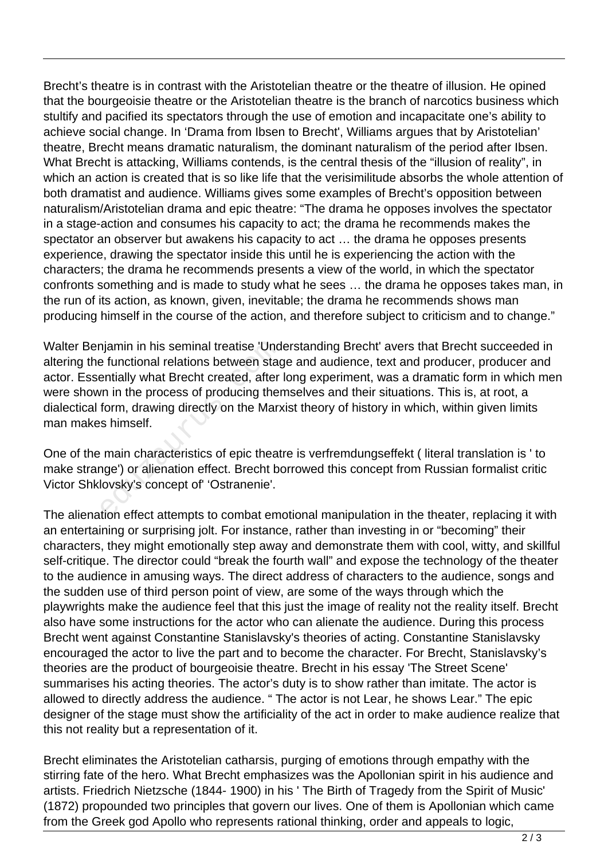Brecht's theatre is in contrast with the Aristotelian theatre or the theatre of illusion. He opined that the bourgeoisie theatre or the Aristotelian theatre is the branch of narcotics business which stultify and pacified its spectators through the use of emotion and incapacitate one's ability to achieve social change. In 'Drama from Ibsen to Brecht', Williams argues that by Aristotelian' theatre, Brecht means dramatic naturalism, the dominant naturalism of the period after Ibsen. What Brecht is attacking, Williams contends, is the central thesis of the "illusion of reality", in which an action is created that is so like life that the verisimilitude absorbs the whole attention of both dramatist and audience. Williams gives some examples of Brecht's opposition between naturalism/Aristotelian drama and epic theatre: "The drama he opposes involves the spectator in a stage-action and consumes his capacity to act; the drama he recommends makes the spectator an observer but awakens his capacity to act … the drama he opposes presents experience, drawing the spectator inside this until he is experiencing the action with the characters; the drama he recommends presents a view of the world, in which the spectator confronts something and is made to study what he sees … the drama he opposes takes man, in the run of its action, as known, given, inevitable; the drama he recommends shows man producing himself in the course of the action, and therefore subject to criticism and to change."

Walter Benjamin in his seminal treatise 'Understanding Brecht' avers that Brecht succeeded in altering the functional relations between stage and audience, text and producer, producer and actor. Essentially what Brecht created, after long experiment, was a dramatic form in which men were shown in the process of producing themselves and their situations. This is, at root, a dialectical form, drawing directly on the Marxist theory of history in which, within given limits man makes himself. njamin in his seminal treatise 'Und<br>
e functional relations between stagentially what Brecht created, after<br>
rn in the process of producing ther<br>
form, drawing directly on the Marx<br>
s himself.<br>
main characteristics of epic

One of the main characteristics of epic theatre is verfremdungseffekt ( literal translation is ' to make strange') or alienation effect. Brecht borrowed this concept from Russian formalist critic Victor Shklovsky's concept of' 'Ostranenie'.

The alienation effect attempts to combat emotional manipulation in the theater, replacing it with an entertaining or surprising jolt. For instance, rather than investing in or "becoming" their characters, they might emotionally step away and demonstrate them with cool, witty, and skillful self-critique. The director could "break the fourth wall" and expose the technology of the theater to the audience in amusing ways. The direct address of characters to the audience, songs and the sudden use of third person point of view, are some of the ways through which the playwrights make the audience feel that this just the image of reality not the reality itself. Brecht also have some instructions for the actor who can alienate the audience. During this process Brecht went against Constantine Stanislavsky's theories of acting. Constantine Stanislavsky encouraged the actor to live the part and to become the character. For Brecht, Stanislavsky's theories are the product of bourgeoisie theatre. Brecht in his essay 'The Street Scene' summarises his acting theories. The actor's duty is to show rather than imitate. The actor is allowed to directly address the audience. " The actor is not Lear, he shows Lear." The epic designer of the stage must show the artificiality of the act in order to make audience realize that this not reality but a representation of it.

Brecht eliminates the Aristotelian catharsis, purging of emotions through empathy with the stirring fate of the hero. What Brecht emphasizes was the Apollonian spirit in his audience and artists. Friedrich Nietzsche (1844- 1900) in his ' The Birth of Tragedy from the Spirit of Music' (1872) propounded two principles that govern our lives. One of them is Apollonian which came from the Greek god Apollo who represents rational thinking, order and appeals to logic,